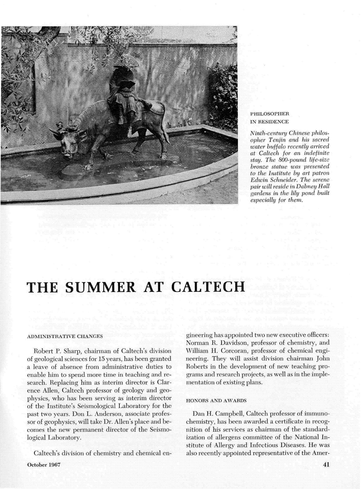

### **PHILOSOPHER** IN RESIDENCE

Ninth-century Chinese philosopher Tenjin and his sacred water buffalo recently arrived at Caltech for an indefinite stay. The 800-pound life-size bronze statue was presented to the Institute by art patron Edwin Schneider. The serene air will reside in Dabney Hall ardens in the lily pond built especially for them.

# THE SUMMER AT CALTECH

### **ADMINISTRATIVE CHANGES**

Robert P. Sharp, chairman of Caltech's division of geological sciences for 15 years, has been granted a leave of absence from administrative duties to enable him to spend more time in teaching and research. Replacing him as interim director is Clarence Allen, Caltech professor of geology and geophysics, who has been serving as interim dire of the Institute's Seismological Laboratory for past two years. Don L. Anderson, associate professor of geophysics, will take Dr. Allen's place and becomes the new permanent director of the Seismoogical Laboratory.

Caltech's division of chemistry and chemical en-**October 1967 41** 

gineering has appointed two new executive officers: Norman R. Davidson, professor of chemistry, and William H. Corcoran, professor of chemical engineering. They will assist division chairman John Roberts in the development of new teaching programs and research projects, as well as in the implementation of existing plans.

### HONORS AND AWARDS

Dan H. Campbell, Caltech professor of immunochemistry, has been awarded a certificate in recognition of his services as chairman of the standardization of allergens committee of the National Institute of Allergy and Infectious Diseases. He was also recently appointed representative of the Amer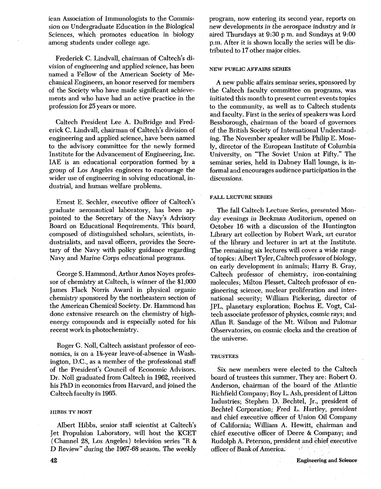ican Association of Immunologists to the Commission on Undergraduate Education in the Biological Sciences, which promotes education in biology among students under college age.

Frederick C. Lindvall, chairman of Caltech's division of engineering and applied science, has been named a Fellow of the American Society of Mechanical Engineers, an honor reserved for members of the Society who have made significant achievements and who have had an active practice in the profession for 25 years or more.

Caltech President Lee A. DuBridge and Frederick C. Lindvall, chairman of Caltech's division of engineering and applied science, have been named to the advisory committee for the newly formed Institute for the Advancement of Engineering, Inc. IAE is an educational corporation formed by a group of Los Angeles engineers to encourage the wider use of engineering in solving educational, industrial, and human welfare problems.

Ernest E. Sechler, executive officer of Caltech's graduate aeronautical laboratory, has been appointed to the Secretary of the Navy's Advisory Board on Educational Requirements. This board, composed of distinguished scholars, scientists, industrialists, and naval officers, provides the Secretary of the Navy with policy guidance regarding Navy and Marine Corps educational programs.

George S. Hammond, Arthur Amos Noyes professor of chemistry at Caltech, is winner of the \$1,000 James Flack Norris Award in physical organic chemistry sponsored by the northeastern section of the American Chemical Society. Dr. Hammond has done extensive research on the chemistry of highenergy compounds and is especially noted for his recent work in photochemistry.

Roger G. Noll, Caltech assistant professor of economics, is on a 1%-year leave-of-absence in Washington, D.C., as a member of the professional staff of the President's Council of Economic Advisors. Dr. No11 graduated from Caltech in 1962, received his PhD in economics from Harvard, and joined the Caltech faculty in 1965.

### **HIEBS TV HOST**

Albert Hibbs, senior staff scientist at Caltech's Jet Propulsion Laboratory, will host the KCET (Channel 28, Los Angeles) television series "R & D Review" during the 1967-68 season. The weekly program, now entering its second year, reports on new developments in the aerospace industry and is aired Thursdays at 9:30 p m. and Sundays at 9:00 p.m. After it is shown locally the series will be distributed to 17 other major cities.

### **NEW PUBLIC AFFAIRS SERIES**

**A** new public affairs seminar series, sponsored by the Caltech faculty committee on programs, was initiated this month to present current events topics to the community, as well as to Caltech students and faculty. First in the series of speakers was Lord Bessborough, chairman of the board of governors of the British Society of International Understanding. The November speaker will be Philip E. Mosely, director of the European Institute of Columbia University, on "The Soviet Union at Fifty." The seminar series, held in Dabney Hall lounge, is informal and encourages audience participation in the discussions.

### **FALL LECTURE SERIES**

The fall Caltech Lecture Series, presented Monday evenings in Beckman Auditorium, opened on October 16 with a discussion of the Huntington Library art collection by Robert Wark, art curator of the library and lecturer in art at the Institute. The remaining six lectures will cover a wide range of topics: Albert Tyler, Caltech professor of biology, on early development in animals; Harry B. Gray, Caltech professor of chemistry, iron-containing molecules; Milton Plesset, Caltech professor of engineering science, nuclear proliferation and international security; William Pickering, director of JPL, planetary exploration; Rochus E. Vogt, Caltech associate professor of physics, cosmic rays; and Allan R. Sandage of the Mt. Wilson and Palomar Observatories, on cosmic clocks and the creation of the universe.

### **TRUSTEES**

Six new members were elected to the Caltech board of trustees this summer. They are: Robert 0. Anderson, chairman of the board of the Atlantic Richfield Company; Roy L. Ash, president of Litton Industries; Stephen D. Bechtel, Jr., president of Bechtel Corporation; Fred L. Hartley, president and chief executive officer of Union Oil Company of California; William A. Hewitt, chairman and chief executive officer of Deere & Company; and Rudolph A. Peterson, president and chief executive officer of Bank of America.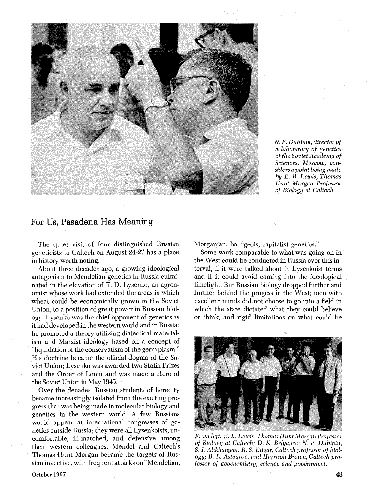

*N. P. Dubinin, director of a laboratory of genetics of the Soviet Academy of Sciences, Moscow, considers a point being made by E. B. Lewis, Thomas Hunt Morgan Professor of Biology at Caltech.* 

### For Us, Pasadena Has Meaning

The quiet visit of four distinguished Russian geneticists to Caltech on August 24-27 has a place in history worth noting.

About three decades ago, a growing ideological antagonism to Mendelian genetics in Russia culminated in the elevation of T. D. Lysenko, an agronomist whose work had extended the areas in which wheat could be economically grown in the Soviet Union, to a position of great power in Russian biology. Lysenko was the chief opponent of genetics as it had developed in the western world and in Russia; he promoted a theory utilizing dialectical materialism and Marxist ideology based on a concept of "liquidation of the conservatism of the germ plasm." His doctrine became the official dogma of the Soviet Union; Lysenko was awarded two Stalin Prizes and the Order of Lenin and was made a Hero of the Soviet Union in May 1945.

Over the decades, Russian students of heredity became increasingly isolated from the exciting progress that was being made in molecular biology and genetics in the western world. A few Russians would appear at international congresses of genetics outside Russia; they were all Lysenkoists, uncomfortable, ill-matched, and defensive among their western colleagues. Mendel and Caltech's Thomas Hunt Morgan became the targets of Russian invective, with frequent attacks on "Mendelian, Morganian, bourgeois, capitalist genetics."

Some work comparable to what was going on in the West could be conducted in Russia over this interval, if it were talked about in Lysenkoist terms and if it could avoid coming into the ideological limelight. But Russian biology dropped further and further behind the progess in the West; men with excellent minds did not choose to go into a field in which the state dictated what they could believe or think, and rigid limitations on what could be



*From left: E. B. Lewis, Thomas Hunt Morgan Professor of Biology at Caltech; D. K. Belyayev; N. P. Dubinin;* S. *1. Aliklta~iyan; R.* S. *£cigar Caltech profes~or* **oj** *biology;* **B.** *L. A~?aurov;* and *Harrison Brown, Caltech professor of geochemistry, science* and *government.*